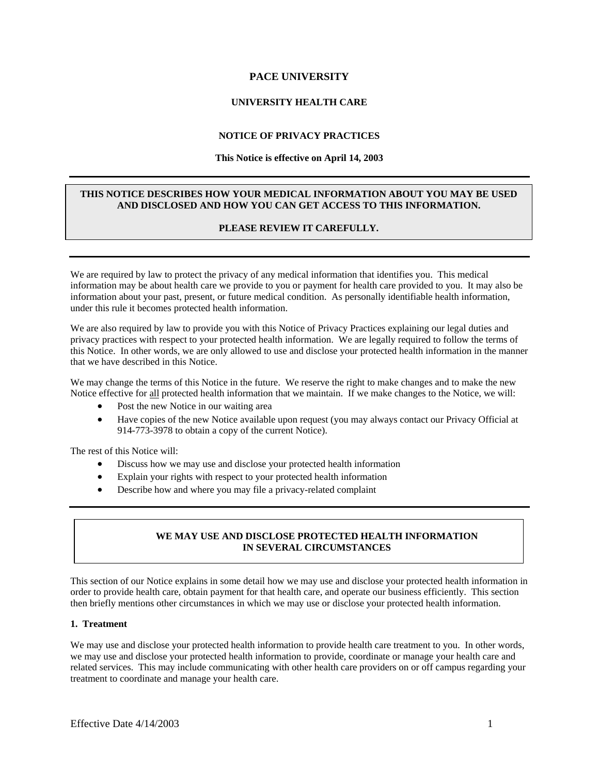# **PACE UNIVERSITY**

# **UNIVERSITY HEALTH CARE**

## **NOTICE OF PRIVACY PRACTICES**

#### **This Notice is effective on April 14, 2003**

## **THIS NOTICE DESCRIBES HOW YOUR MEDICAL INFORMATION ABOUT YOU MAY BE USED AND DISCLOSED AND HOW YOU CAN GET ACCESS TO THIS INFORMATION.**

## **PLEASE REVIEW IT CAREFULLY.**

We are required by law to protect the privacy of any medical information that identifies you. This medical information may be about health care we provide to you or payment for health care provided to you. It may also be information about your past, present, or future medical condition. As personally identifiable health information, under this rule it becomes protected health information.

We are also required by law to provide you with this Notice of Privacy Practices explaining our legal duties and privacy practices with respect to your protected health information. We are legally required to follow the terms of this Notice. In other words, we are only allowed to use and disclose your protected health information in the manner that we have described in this Notice.

We may change the terms of this Notice in the future. We reserve the right to make changes and to make the new Notice effective for all protected health information that we maintain. If we make changes to the Notice, we will:

- Post the new Notice in our waiting area
- Have copies of the new Notice available upon request (you may always contact our Privacy Official at 914-773-3978 to obtain a copy of the current Notice).

The rest of this Notice will:

- Discuss how we may use and disclose your protected health information
- Explain your rights with respect to your protected health information
- Describe how and where you may file a privacy-related complaint

## **WE MAY USE AND DISCLOSE PROTECTED HEALTH INFORMATION IN SEVERAL CIRCUMSTANCES**

This section of our Notice explains in some detail how we may use and disclose your protected health information in order to provide health care, obtain payment for that health care, and operate our business efficiently. This section then briefly mentions other circumstances in which we may use or disclose your protected health information.

#### **1. Treatment**

We may use and disclose your protected health information to provide health care treatment to you. In other words, we may use and disclose your protected health information to provide, coordinate or manage your health care and related services. This may include communicating with other health care providers on or off campus regarding your treatment to coordinate and manage your health care.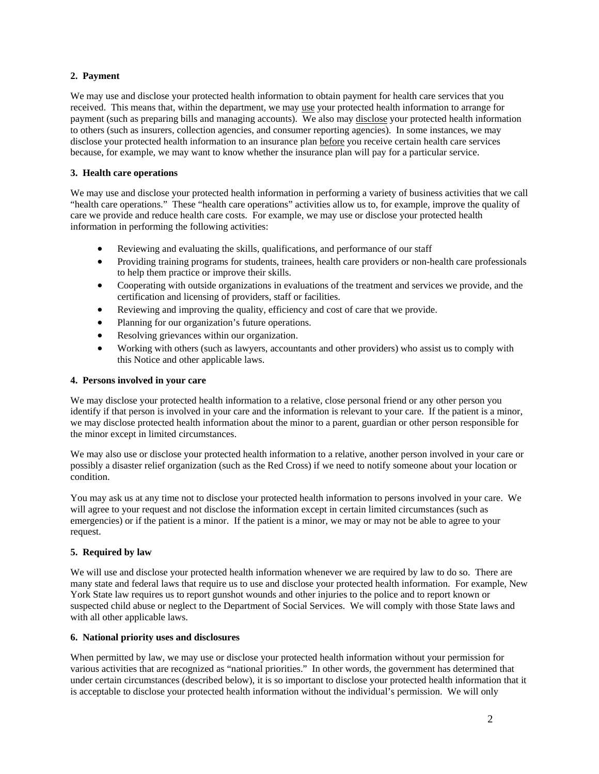## **2. Payment**

We may use and disclose your protected health information to obtain payment for health care services that you received. This means that, within the department, we may use your protected health information to arrange for payment (such as preparing bills and managing accounts). We also may disclose your protected health information to others (such as insurers, collection agencies, and consumer reporting agencies). In some instances, we may disclose your protected health information to an insurance plan before you receive certain health care services because, for example, we may want to know whether the insurance plan will pay for a particular service.

## **3. Health care operations**

We may use and disclose your protected health information in performing a variety of business activities that we call "health care operations." These "health care operations" activities allow us to, for example, improve the quality of care we provide and reduce health care costs. For example, we may use or disclose your protected health information in performing the following activities:

- Reviewing and evaluating the skills, qualifications, and performance of our staff
- Providing training programs for students, trainees, health care providers or non-health care professionals to help them practice or improve their skills.
- Cooperating with outside organizations in evaluations of the treatment and services we provide, and the certification and licensing of providers, staff or facilities.
- Reviewing and improving the quality, efficiency and cost of care that we provide.
- Planning for our organization's future operations.
- Resolving grievances within our organization.
- Working with others (such as lawyers, accountants and other providers) who assist us to comply with this Notice and other applicable laws.

## **4. Persons involved in your care**

We may disclose your protected health information to a relative, close personal friend or any other person you identify if that person is involved in your care and the information is relevant to your care. If the patient is a minor, we may disclose protected health information about the minor to a parent, guardian or other person responsible for the minor except in limited circumstances.

We may also use or disclose your protected health information to a relative, another person involved in your care or possibly a disaster relief organization (such as the Red Cross) if we need to notify someone about your location or condition.

You may ask us at any time not to disclose your protected health information to persons involved in your care. We will agree to your request and not disclose the information except in certain limited circumstances (such as emergencies) or if the patient is a minor. If the patient is a minor, we may or may not be able to agree to your request.

## **5. Required by law**

We will use and disclose your protected health information whenever we are required by law to do so. There are many state and federal laws that require us to use and disclose your protected health information. For example, New York State law requires us to report gunshot wounds and other injuries to the police and to report known or suspected child abuse or neglect to the Department of Social Services. We will comply with those State laws and with all other applicable laws.

## **6. National priority uses and disclosures**

When permitted by law, we may use or disclose your protected health information without your permission for various activities that are recognized as "national priorities." In other words, the government has determined that under certain circumstances (described below), it is so important to disclose your protected health information that it is acceptable to disclose your protected health information without the individual's permission. We will only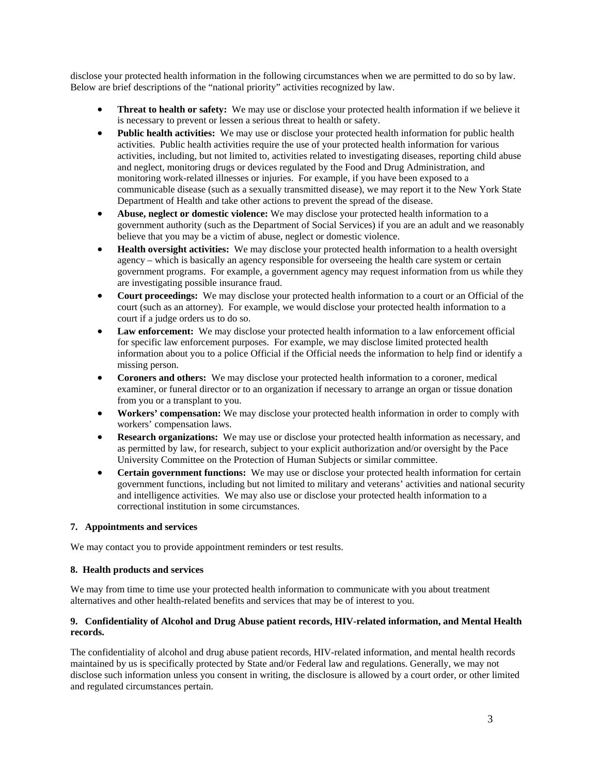disclose your protected health information in the following circumstances when we are permitted to do so by law. Below are brief descriptions of the "national priority" activities recognized by law.

- **Threat to health or safety:** We may use or disclose your protected health information if we believe it is necessary to prevent or lessen a serious threat to health or safety.
- **Public health activities:** We may use or disclose your protected health information for public health activities. Public health activities require the use of your protected health information for various activities, including, but not limited to, activities related to investigating diseases, reporting child abuse and neglect, monitoring drugs or devices regulated by the Food and Drug Administration, and monitoring work-related illnesses or injuries. For example, if you have been exposed to a communicable disease (such as a sexually transmitted disease), we may report it to the New York State Department of Health and take other actions to prevent the spread of the disease.
- **Abuse, neglect or domestic violence:** We may disclose your protected health information to a government authority (such as the Department of Social Services) if you are an adult and we reasonably believe that you may be a victim of abuse, neglect or domestic violence.
- **Health oversight activities:** We may disclose your protected health information to a health oversight agency – which is basically an agency responsible for overseeing the health care system or certain government programs. For example, a government agency may request information from us while they are investigating possible insurance fraud.
- **Court proceedings:** We may disclose your protected health information to a court or an Official of the court (such as an attorney). For example, we would disclose your protected health information to a court if a judge orders us to do so.
- Law enforcement: We may disclose your protected health information to a law enforcement official for specific law enforcement purposes. For example, we may disclose limited protected health information about you to a police Official if the Official needs the information to help find or identify a missing person.
- **Coroners and others:** We may disclose your protected health information to a coroner, medical examiner, or funeral director or to an organization if necessary to arrange an organ or tissue donation from you or a transplant to you.
- **Workers' compensation:** We may disclose your protected health information in order to comply with workers' compensation laws.
- **Research organizations:** We may use or disclose your protected health information as necessary, and as permitted by law, for research, subject to your explicit authorization and/or oversight by the Pace University Committee on the Protection of Human Subjects or similar committee.
- **Certain government functions:** We may use or disclose your protected health information for certain government functions, including but not limited to military and veterans' activities and national security and intelligence activities. We may also use or disclose your protected health information to a correctional institution in some circumstances.

## **7. Appointments and services**

We may contact you to provide appointment reminders or test results.

#### **8. Health products and services**

We may from time to time use your protected health information to communicate with you about treatment alternatives and other health-related benefits and services that may be of interest to you.

## **9. Confidentiality of Alcohol and Drug Abuse patient records, HIV-related information, and Mental Health records.**

The confidentiality of alcohol and drug abuse patient records, HIV-related information, and mental health records maintained by us is specifically protected by State and/or Federal law and regulations. Generally, we may not disclose such information unless you consent in writing, the disclosure is allowed by a court order, or other limited and regulated circumstances pertain.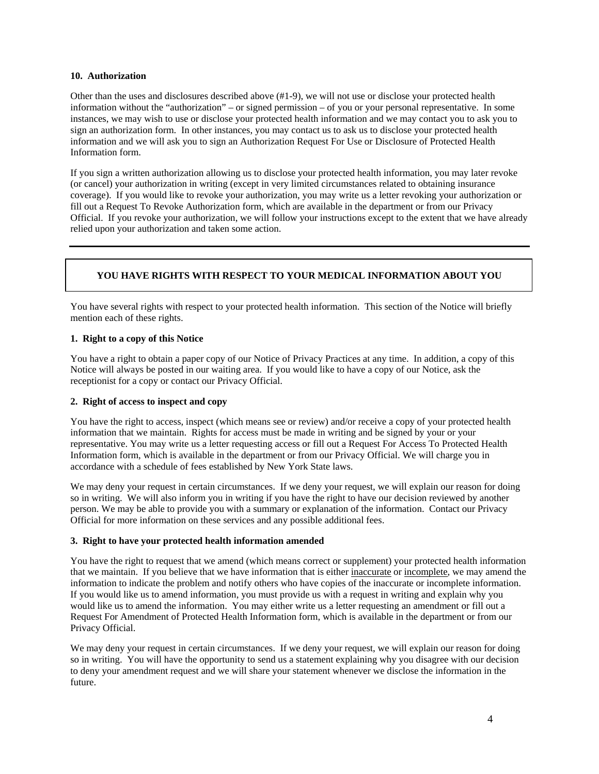#### **10. Authorization**

Other than the uses and disclosures described above (#1-9), we will not use or disclose your protected health information without the "authorization" – or signed permission – of you or your personal representative. In some instances, we may wish to use or disclose your protected health information and we may contact you to ask you to sign an authorization form. In other instances, you may contact us to ask us to disclose your protected health information and we will ask you to sign an Authorization Request For Use or Disclosure of Protected Health Information form.

If you sign a written authorization allowing us to disclose your protected health information, you may later revoke (or cancel) your authorization in writing (except in very limited circumstances related to obtaining insurance coverage). If you would like to revoke your authorization, you may write us a letter revoking your authorization or fill out a Request To Revoke Authorization form, which are available in the department or from our Privacy Official. If you revoke your authorization, we will follow your instructions except to the extent that we have already relied upon your authorization and taken some action.

# **YOU HAVE RIGHTS WITH RESPECT TO YOUR MEDICAL INFORMATION ABOUT YOU**

You have several rights with respect to your protected health information. This section of the Notice will briefly mention each of these rights.

## **1. Right to a copy of this Notice**

You have a right to obtain a paper copy of our Notice of Privacy Practices at any time. In addition, a copy of this Notice will always be posted in our waiting area. If you would like to have a copy of our Notice, ask the receptionist for a copy or contact our Privacy Official.

## **2. Right of access to inspect and copy**

You have the right to access, inspect (which means see or review) and/or receive a copy of your protected health information that we maintain. Rights for access must be made in writing and be signed by your or your representative. You may write us a letter requesting access or fill out a Request For Access To Protected Health Information form, which is available in the department or from our Privacy Official. We will charge you in accordance with a schedule of fees established by New York State laws.

We may deny your request in certain circumstances. If we deny your request, we will explain our reason for doing so in writing. We will also inform you in writing if you have the right to have our decision reviewed by another person. We may be able to provide you with a summary or explanation of the information. Contact our Privacy Official for more information on these services and any possible additional fees.

## **3. Right to have your protected health information amended**

You have the right to request that we amend (which means correct or supplement) your protected health information that we maintain. If you believe that we have information that is either inaccurate or incomplete, we may amend the information to indicate the problem and notify others who have copies of the inaccurate or incomplete information. If you would like us to amend information, you must provide us with a request in writing and explain why you would like us to amend the information. You may either write us a letter requesting an amendment or fill out a Request For Amendment of Protected Health Information form, which is available in the department or from our Privacy Official.

We may deny your request in certain circumstances. If we deny your request, we will explain our reason for doing so in writing. You will have the opportunity to send us a statement explaining why you disagree with our decision to deny your amendment request and we will share your statement whenever we disclose the information in the future.